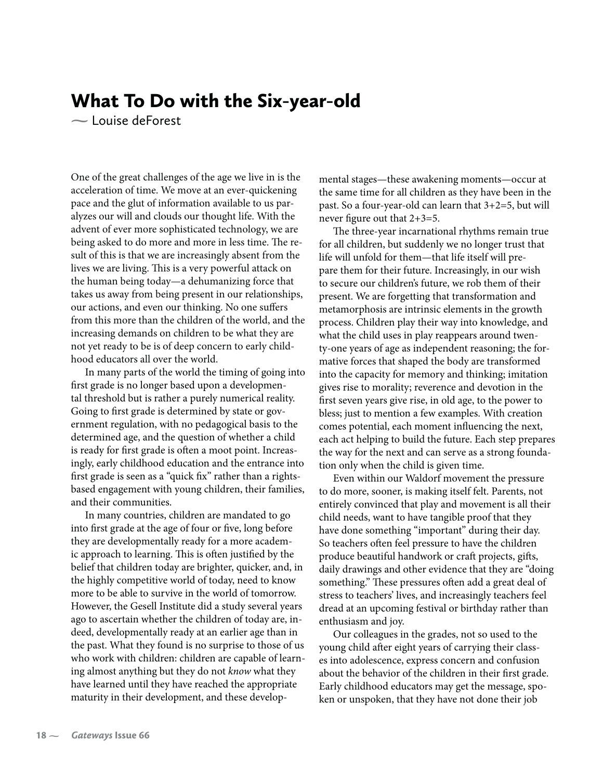## What To Do with the Six-year-old

**-** Louise deForest

One of the great challenges of the age we live in is the acceleration of time. We move at an ever-quickening pace and the glut of information available to us paralyzes our will and clouds our thought life. With the advent of ever more sophisticated technology, we are being asked to do more and more in less time. The result of this is that we are increasingly absent from the lives we are living. This is a very powerful attack on the human being today—a dehumanizing force that takes us away from being present in our relationships, our actions, and even our thinking. No one suffers from this more than the children of the world, and the increasing demands on children to be what they are not yet ready to be is of deep concern to early childhood educators all over the world.

In many parts of the world the timing of going into first grade is no longer based upon a developmental threshold but is rather a purely numerical reality. Going to first grade is determined by state or government regulation, with no pedagogical basis to the determined age, and the question of whether a child is ready for first grade is often a moot point. Increasingly, early childhood education and the entrance into first grade is seen as a "quick fix" rather than a rightsbased engagement with young children, their families, and their communities.

In many countries, children are mandated to go into first grade at the age of four or five, long before they are developmentally ready for a more academic approach to learning. This is often justified by the belief that children today are brighter, quicker, and, in the highly competitive world of today, need to know more to be able to survive in the world of tomorrow. However, the Gesell Institute did a study several years ago to ascertain whether the children of today are, indeed, developmentally ready at an earlier age than in the past. What they found is no surprise to those of us who work with children: children are capable of learning almost anything but they do not know what they have learned until they have reached the appropriate maturity in their development, and these developmental stages—these awakening moments—occur at the same time for all children as they have been in the past. So a four-year-old can learn that 3+2=5, but will never figure out that 2+3=5.

The three-year incarnational rhythms remain true for all children, but suddenly we no longer trust that life will unfold for them—that life itself will prepare them for their future. Increasingly, in our wish to secure our children's future, we rob them of their present. We are forgetting that transformation and metamorphosis are intrinsic elements in the growth process. Children play their way into knowledge, and what the child uses in play reappears around twenty-one years of age as independent reasoning; the formative forces that shaped the body are transformed into the capacity for memory and thinking; imitation gives rise to morality; reverence and devotion in the first seven years give rise, in old age, to the power to bless; just to mention a few examples. With creation comes potential, each moment influencing the next, each act helping to build the future. Each step prepares the way for the next and can serve as a strong foundation only when the child is given time.

Even within our Waldorf movement the pressure to do more, sooner, is making itself felt. Parents, not entirely convinced that play and movement is all their child needs, want to have tangible proof that they have done something "important" during their day. So teachers often feel pressure to have the children produce beautiful handwork or craft projects, gifts, daily drawings and other evidence that they are "doing something." These pressures often add a great deal of stress to teachers' lives, and increasingly teachers feel dread at an upcoming festival or birthday rather than enthusiasm and joy.

Our colleagues in the grades, not so used to the young child after eight years of carrying their classes into adolescence, express concern and confusion about the behavior of the children in their first grade. Early childhood educators may get the message, spoken or unspoken, that they have not done their job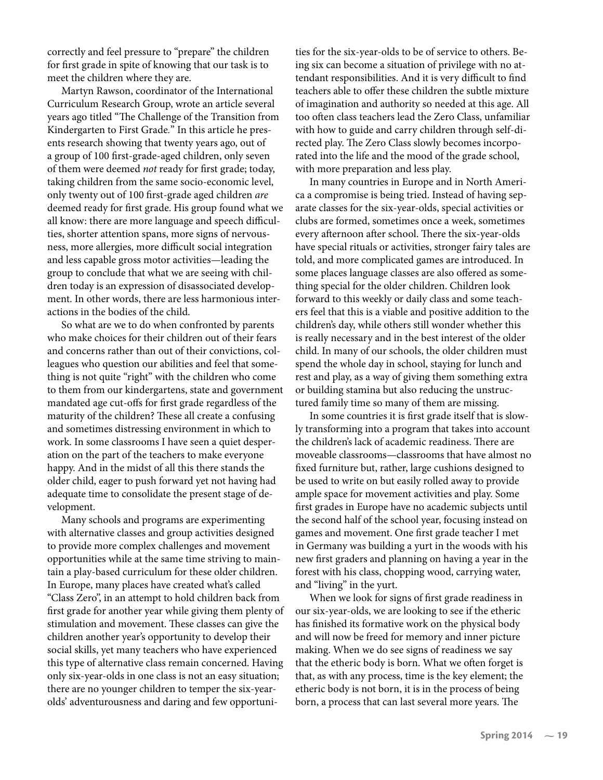correctly and feel pressure to "prepare" the children for first grade in spite of knowing that our task is to meet the children where they are.

Martyn Rawson, coordinator of the International Curriculum Research Group, wrote an article several years ago titled "The Challenge of the Transition from Kindergarten to First Grade." In this article he presents research showing that twenty years ago, out of a group of 100 first-grade-aged children, only seven of them were deemed not ready for first grade; today, taking children from the same socio-economic level, only twenty out of 100 first-grade aged children are deemed ready for first grade. His group found what we all know: there are more language and speech difficulties, shorter attention spans, more signs of nervousness, more allergies, more difficult social integration and less capable gross motor activities—leading the group to conclude that what we are seeing with children today is an expression of disassociated development. In other words, there are less harmonious interactions in the bodies of the child.

So what are we to do when confronted by parents who make choices for their children out of their fears and concerns rather than out of their convictions, colleagues who question our abilities and feel that something is not quite "right" with the children who come to them from our kindergartens, state and government mandated age cut-offs for first grade regardless of the maturity of the children? These all create a confusing and sometimes distressing environment in which to work. In some classrooms I have seen a quiet desperation on the part of the teachers to make everyone happy. And in the midst of all this there stands the older child, eager to push forward yet not having had adequate time to consolidate the present stage of development.

Many schools and programs are experimenting with alternative classes and group activities designed to provide more complex challenges and movement opportunities while at the same time striving to maintain a play-based curriculum for these older children. In Europe, many places have created what's called "Class Zero", in an attempt to hold children back from first grade for another year while giving them plenty of stimulation and movement. These classes can give the children another year's opportunity to develop their social skills, yet many teachers who have experienced this type of alternative class remain concerned. Having only six-year-olds in one class is not an easy situation; there are no younger children to temper the six-yearolds' adventurousness and daring and few opportunities for the six-year-olds to be of service to others. Being six can become a situation of privilege with no attendant responsibilities. And it is very difficult to find teachers able to offer these children the subtle mixture of imagination and authority so needed at this age. All too often class teachers lead the Zero Class, unfamiliar with how to guide and carry children through self-directed play. The Zero Class slowly becomes incorporated into the life and the mood of the grade school, with more preparation and less play.

In many countries in Europe and in North America a compromise is being tried. Instead of having separate classes for the six-year-olds, special activities or clubs are formed, sometimes once a week, sometimes every afternoon after school. There the six-year-olds have special rituals or activities, stronger fairy tales are told, and more complicated games are introduced. In some places language classes are also offered as something special for the older children. Children look forward to this weekly or daily class and some teachers feel that this is a viable and positive addition to the children's day, while others still wonder whether this is really necessary and in the best interest of the older child. In many of our schools, the older children must spend the whole day in school, staying for lunch and rest and play, as a way of giving them something extra or building stamina but also reducing the unstructured family time so many of them are missing.

In some countries it is first grade itself that is slowly transforming into a program that takes into account the children's lack of academic readiness. There are moveable classrooms—classrooms that have almost no fixed furniture but, rather, large cushions designed to be used to write on but easily rolled away to provide ample space for movement activities and play. Some first grades in Europe have no academic subjects until the second half of the school year, focusing instead on games and movement. One first grade teacher I met in Germany was building a yurt in the woods with his new first graders and planning on having a year in the forest with his class, chopping wood, carrying water, and "living" in the yurt.

When we look for signs of first grade readiness in our six-year-olds, we are looking to see if the etheric has finished its formative work on the physical body and will now be freed for memory and inner picture making. When we do see signs of readiness we say that the etheric body is born. What we often forget is that, as with any process, time is the key element; the etheric body is not born, it is in the process of being born, a process that can last several more years. The